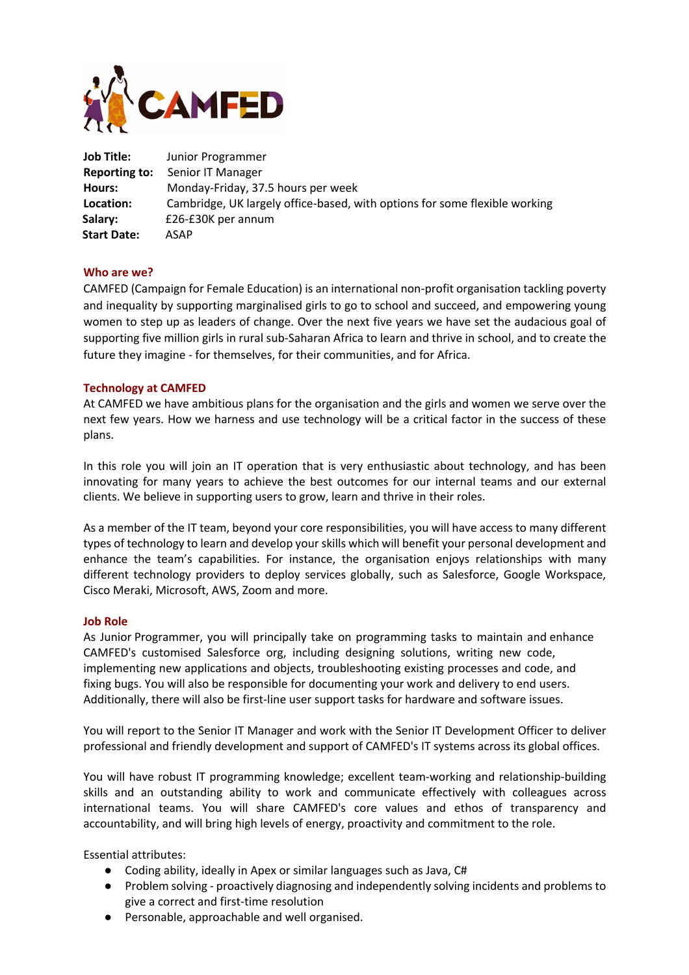

| Job Title:         | Junior Programmer                                                          |
|--------------------|----------------------------------------------------------------------------|
| Reporting to:      | Senior IT Manager                                                          |
| Hours:             | Monday-Friday, 37.5 hours per week                                         |
| Location:          | Cambridge, UK largely office-based, with options for some flexible working |
| Salary:            | £26-£30K per annum                                                         |
| <b>Start Date:</b> | ASAP                                                                       |

## **Who are we?**

CAMFED (Campaign for Female Education) is an international non-profit organisation tackling poverty and inequality by supporting marginalised girls to go to school and succeed, and empowering young women to step up as leaders of change. Over the next five years we have set the audacious goal of supporting five million girls in rural sub-Saharan Africa to learn and thrive in school, and to create the future they imagine - for themselves, for their communities, and for Africa.

## **Technology at CAMFED**

At CAMFED we have ambitious plans for the organisation and the girls and women we serve over the next few years. How we harness and use technology will be a critical factor in the success of these plans.

In this role you will join an IT operation that is very enthusiastic about technology, and has been innovating for many years to achieve the best outcomes for our internal teams and our external clients. We believe in supporting users to grow, learn and thrive in their roles.

As a member of the IT team, beyond your core responsibilities, you will have access to many different types of technology to learn and develop your skills which will benefit your personal development and enhance the team's capabilities. For instance, the organisation enjoys relationships with many different technology providers to deploy services globally, such as Salesforce, Google Workspace, Cisco Meraki, Microsoft, AWS, Zoom and more.

## **Job Role**

As Junior Programmer, you will principally take on programming tasks to maintain and enhance CAMFED's customised Salesforce org, including designing solutions, writing new code, implementing new applications and objects, troubleshooting existing processes and code, and fixing bugs. You will also be responsible for documenting your work and delivery to end users. Additionally, there will also be first-line user support tasks for hardware and software issues.

You will report to the Senior IT Manager and work with the Senior IT Development Officer to deliver professional and friendly development and support of CAMFED's IT systems across its global offices.

You will have robust IT programming knowledge; excellent team-working and relationship-building skills and an outstanding ability to work and communicate effectively with colleagues across international teams. You will share CAMFED's core values and ethos of transparency and accountability, and will bring high levels of energy, proactivity and commitment to the role.

Essential attributes:

- Coding ability, ideally in Apex or similar languages such as Java, C#
- Problem solving proactively diagnosing and independently solving incidents and problems to give a correct and first-time resolution
- Personable, approachable and well organised.